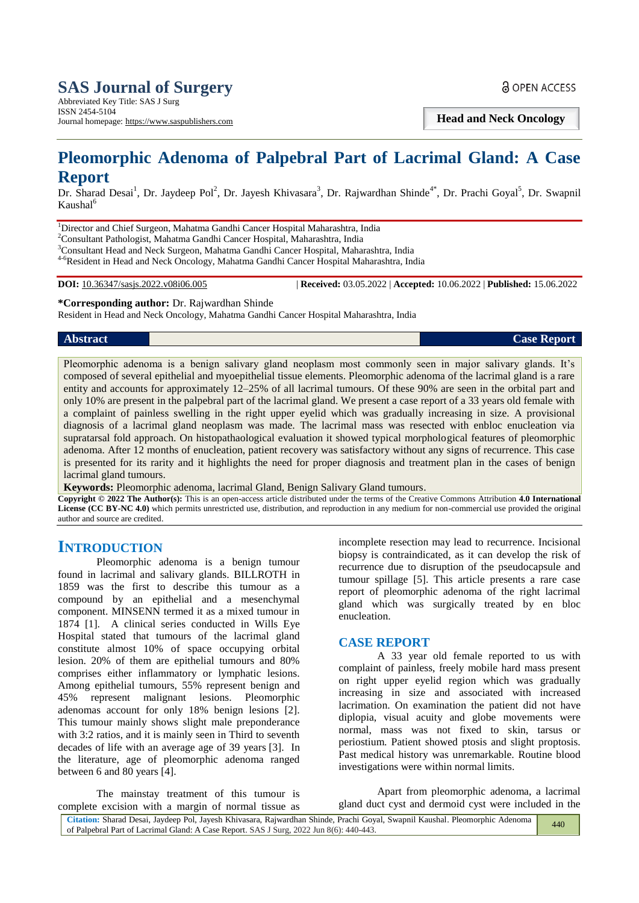**Head and Neck Oncology**

# **Pleomorphic Adenoma of Palpebral Part of Lacrimal Gland: A Case Report**

Dr. Sharad Desai<sup>1</sup>, Dr. Jaydeep Pol<sup>2</sup>, Dr. Jayesh Khivasara<sup>3</sup>, Dr. Rajwardhan Shinde<sup>4\*</sup>, Dr. Prachi Goyal<sup>5</sup>, Dr. Swapnil Kaushal<sup>6</sup>

<sup>1</sup>Director and Chief Surgeon, Mahatma Gandhi Cancer Hospital Maharashtra, India

<sup>2</sup>Consultant Pathologist, Mahatma Gandhi Cancer Hospital, Maharashtra, India

<sup>3</sup>Consultant Head and Neck Surgeon, Mahatma Gandhi Cancer Hospital, Maharashtra, India

4-6Resident in Head and Neck Oncology, Mahatma Gandhi Cancer Hospital Maharashtra, India

**DOI:** 10.36347/sasjs.2022.v08i06.005 | **Received:** 03.05.2022 | **Accepted:** 10.06.2022 | **Published:** 15.06.2022

**\*Corresponding author:** Dr. Rajwardhan Shinde

Resident in Head and Neck Oncology, Mahatma Gandhi Cancer Hospital Maharashtra, India

#### *Abstract* **Case Report**

Pleomorphic adenoma is a benign salivary gland neoplasm most commonly seen in major salivary glands. It's composed of several epithelial and myoepithelial tissue elements. Pleomorphic adenoma of the lacrimal gland is a rare entity and accounts for approximately 12–25% of all lacrimal tumours. Of these 90% are seen in the orbital part and only 10% are present in the palpebral part of the lacrimal gland. We present a case report of a 33 years old female with a complaint of painless swelling in the right upper eyelid which was gradually increasing in size. A provisional diagnosis of a lacrimal gland neoplasm was made. The lacrimal mass was resected with enbloc enucleation via supratarsal fold approach. On histopathaological evaluation it showed typical morphological features of pleomorphic adenoma. After 12 months of enucleation, patient recovery was satisfactory without any signs of recurrence. This case is presented for its rarity and it highlights the need for proper diagnosis and treatment plan in the cases of benign lacrimal gland tumours.

**Keywords:** Pleomorphic adenoma, lacrimal Gland, Benign Salivary Gland tumours.

**Copyright © 2022 The Author(s):** This is an open-access article distributed under the terms of the Creative Commons Attribution **4.0 International License (CC BY-NC 4.0)** which permits unrestricted use, distribution, and reproduction in any medium for non-commercial use provided the original author and source are credited.

# **INTRODUCTION**

Pleomorphic adenoma is a benign tumour found in lacrimal and salivary glands. BILLROTH in 1859 was the first to describe this tumour as a compound by an epithelial and a mesenchymal component. MINSENN termed it as a mixed tumour in 1874 [1]. A clinical series conducted in Wills Eye Hospital stated that tumours of the lacrimal gland constitute almost 10% of space occupying orbital lesion. 20% of them are epithelial tumours and 80% comprises either inflammatory or lymphatic lesions. Among epithelial tumours, 55% represent benign and 45% represent malignant lesions. Pleomorphic adenomas account for only 18% benign lesions [2]. This tumour mainly shows slight male preponderance with 3:2 ratios, and it is mainly seen in Third to seventh decades of life with an average age of 39 years [3]. In the literature, age of pleomorphic adenoma ranged between 6 and 80 years [4].

incomplete resection may lead to recurrence. Incisional biopsy is contraindicated, as it can develop the risk of recurrence due to disruption of the pseudocapsule and tumour spillage [5]. This article presents a rare case report of pleomorphic adenoma of the right lacrimal gland which was surgically treated by en bloc enucleation.

#### **CASE REPORT**

A 33 year old female reported to us with complaint of painless, freely mobile hard mass present on right upper eyelid region which was gradually increasing in size and associated with increased lacrimation. On examination the patient did not have diplopia, visual acuity and globe movements were normal, mass was not fixed to skin, tarsus or periostium. Patient showed ptosis and slight proptosis. Past medical history was unremarkable. Routine blood investigations were within normal limits.

The mainstay treatment of this tumour is complete excision with a margin of normal tissue as

Apart from pleomorphic adenoma, a lacrimal gland duct cyst and dermoid cyst were included in the

| Citation: Sharad Desai, Jaydeep Pol, Jayesh Khivasara, Rajwardhan Shinde, Prachi Goyal, Swapnil Kaushal. Pleomorphic Adenoma | 440 |
|------------------------------------------------------------------------------------------------------------------------------|-----|
| of Palpebral Part of Lacrimal Gland: A Case Report. SAS J Surg, 2022 Jun 8(6): 440-443.                                      |     |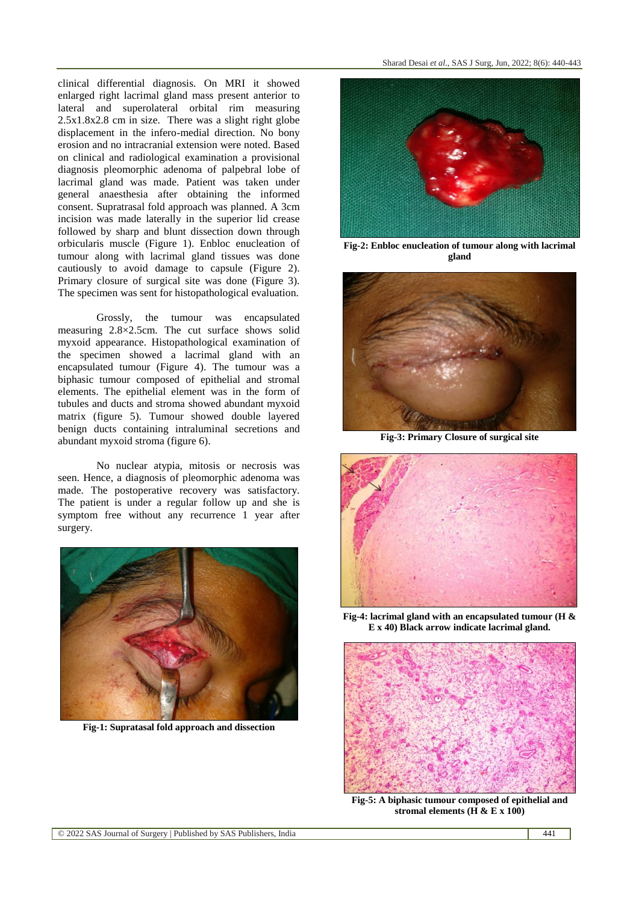clinical differential diagnosis. On MRI it showed enlarged right lacrimal gland mass present anterior to lateral and superolateral orbital rim measuring 2.5x1.8x2.8 cm in size. There was a slight right globe displacement in the infero-medial direction. No bony erosion and no intracranial extension were noted. Based on clinical and radiological examination a provisional diagnosis pleomorphic adenoma of palpebral lobe of lacrimal gland was made. Patient was taken under general anaesthesia after obtaining the informed consent. Supratrasal fold approach was planned. A 3cm incision was made laterally in the superior lid crease followed by sharp and blunt dissection down through orbicularis muscle (Figure 1). Enbloc enucleation of tumour along with lacrimal gland tissues was done cautiously to avoid damage to capsule (Figure 2). Primary closure of surgical site was done (Figure 3). The specimen was sent for histopathological evaluation.

Grossly, the tumour was encapsulated measuring 2.8×2.5cm. The cut surface shows solid myxoid appearance. Histopathological examination of the specimen showed a lacrimal gland with an encapsulated tumour (Figure 4). The tumour was a biphasic tumour composed of epithelial and stromal elements. The epithelial element was in the form of tubules and ducts and stroma showed abundant myxoid matrix (figure 5). Tumour showed double layered benign ducts containing intraluminal secretions and abundant myxoid stroma (figure 6).

No nuclear atypia, mitosis or necrosis was seen. Hence, a diagnosis of pleomorphic adenoma was made. The postoperative recovery was satisfactory. The patient is under a regular follow up and she is symptom free without any recurrence 1 year after surgery.



**Fig-1: Supratasal fold approach and dissection**



**Fig-2: Enbloc enucleation of tumour along with lacrimal gland**



**Fig-3: Primary Closure of surgical site**



**Fig-4: lacrimal gland with an encapsulated tumour (H & E x 40) Black arrow indicate lacrimal gland.**



**Fig-5: A biphasic tumour composed of epithelial and stromal elements (H & E x 100)**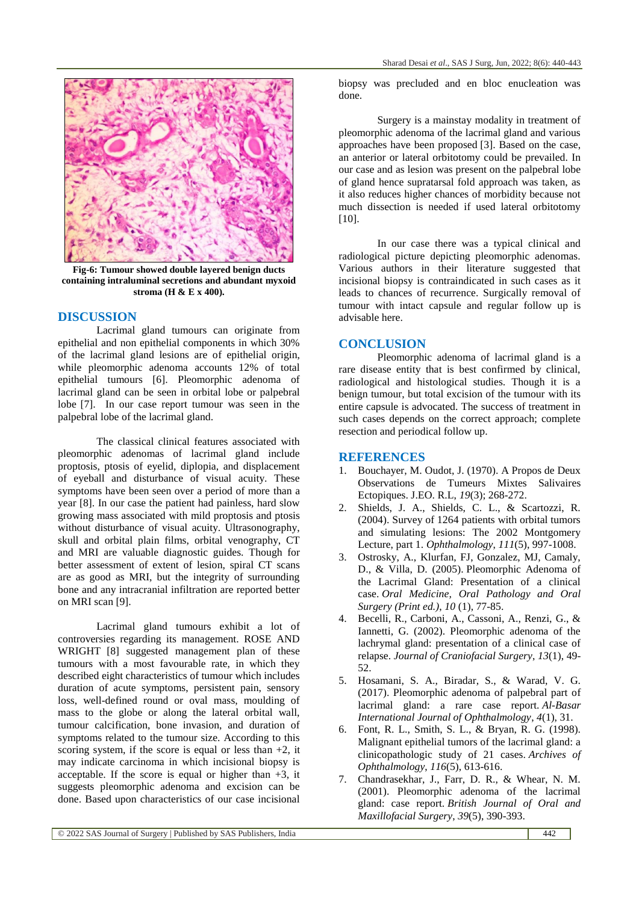

**Fig-6: Tumour showed double layered benign ducts containing intraluminal secretions and abundant myxoid stroma (H & E x 400).**

## **DISCUSSION**

Lacrimal gland tumours can originate from epithelial and non epithelial components in which 30% of the lacrimal gland lesions are of epithelial origin, while pleomorphic adenoma accounts 12% of total epithelial tumours [6]. Pleomorphic adenoma of lacrimal gland can be seen in orbital lobe or palpebral lobe [7]. In our case report tumour was seen in the palpebral lobe of the lacrimal gland.

The classical clinical features associated with pleomorphic adenomas of lacrimal gland include proptosis, ptosis of eyelid, diplopia, and displacement of eyeball and disturbance of visual acuity. These symptoms have been seen over a period of more than a year [8]. In our case the patient had painless, hard slow growing mass associated with mild proptosis and ptosis without disturbance of visual acuity. Ultrasonography, skull and orbital plain films, orbital venography, CT and MRI are valuable diagnostic guides. Though for better assessment of extent of lesion, spiral CT scans are as good as MRI, but the integrity of surrounding bone and any intracranial infiltration are reported better on MRI scan [9].

Lacrimal gland tumours exhibit a lot of controversies regarding its management. ROSE AND WRIGHT [8] suggested management plan of these tumours with a most favourable rate, in which they described eight characteristics of tumour which includes duration of acute symptoms, persistent pain, sensory loss, well-defined round or oval mass, moulding of mass to the globe or along the lateral orbital wall, tumour calcification, bone invasion, and duration of symptoms related to the tumour size. According to this scoring system, if the score is equal or less than  $+2$ , it may indicate carcinoma in which incisional biopsy is acceptable. If the score is equal or higher than  $+3$ , it suggests pleomorphic adenoma and excision can be done. Based upon characteristics of our case incisional

biopsy was precluded and en bloc enucleation was done.

Surgery is a mainstay modality in treatment of pleomorphic adenoma of the lacrimal gland and various approaches have been proposed [3]. Based on the case, an anterior or lateral orbitotomy could be prevailed. In our case and as lesion was present on the palpebral lobe of gland hence supratarsal fold approach was taken, as it also reduces higher chances of morbidity because not much dissection is needed if used lateral orbitotomy [10].

In our case there was a typical clinical and radiological picture depicting pleomorphic adenomas. Various authors in their literature suggested that incisional biopsy is contraindicated in such cases as it leads to chances of recurrence. Surgically removal of tumour with intact capsule and regular follow up is advisable here.

## **CONCLUSION**

Pleomorphic adenoma of lacrimal gland is a rare disease entity that is best confirmed by clinical, radiological and histological studies. Though it is a benign tumour, but total excision of the tumour with its entire capsule is advocated. The success of treatment in such cases depends on the correct approach; complete resection and periodical follow up.

#### **REFERENCES**

- 1. Bouchayer, M. Oudot, J. (1970). A Propos de Deux Observations de Tumeurs Mixtes Salivaires Ectopiques. J.EO. R.L, *19*(3); 268-272.
- 2. Shields, J. A., Shields, C. L., & Scartozzi, R. (2004). Survey of 1264 patients with orbital tumors and simulating lesions: The 2002 Montgomery Lecture, part 1. *Ophthalmology*, *111*(5), 997-1008.
- 3. Ostrosky, A., Klurfan, FJ, Gonzalez, MJ, Camaly, D., & Villa, D. (2005). Pleomorphic Adenoma of the Lacrimal Gland: Presentation of a clinical case. *Oral Medicine, Oral Pathology and Oral Surgery (Print ed.)*, *10* (1), 77-85.
- 4. Becelli, R., Carboni, A., Cassoni, A., Renzi, G., & Iannetti, G. (2002). Pleomorphic adenoma of the lachrymal gland: presentation of a clinical case of relapse. *Journal of Craniofacial Surgery*, *13*(1), 49- 52.
- 5. Hosamani, S. A., Biradar, S., & Warad, V. G. (2017). Pleomorphic adenoma of palpebral part of lacrimal gland: a rare case report. *Al-Basar International Journal of Ophthalmology*, *4*(1), 31.
- 6. Font, R. L., Smith, S. L., & Bryan, R. G. (1998). Malignant epithelial tumors of the lacrimal gland: a clinicopathologic study of 21 cases. *Archives of Ophthalmology*, *116*(5), 613-616.
- 7. Chandrasekhar, J., Farr, D. R., & Whear, N. M. (2001). Pleomorphic adenoma of the lacrimal gland: case report. *British Journal of Oral and Maxillofacial Surgery*, *39*(5), 390-393.

© 2022 SAS Journal of Surgery | Published by SAS Publishers, India 442